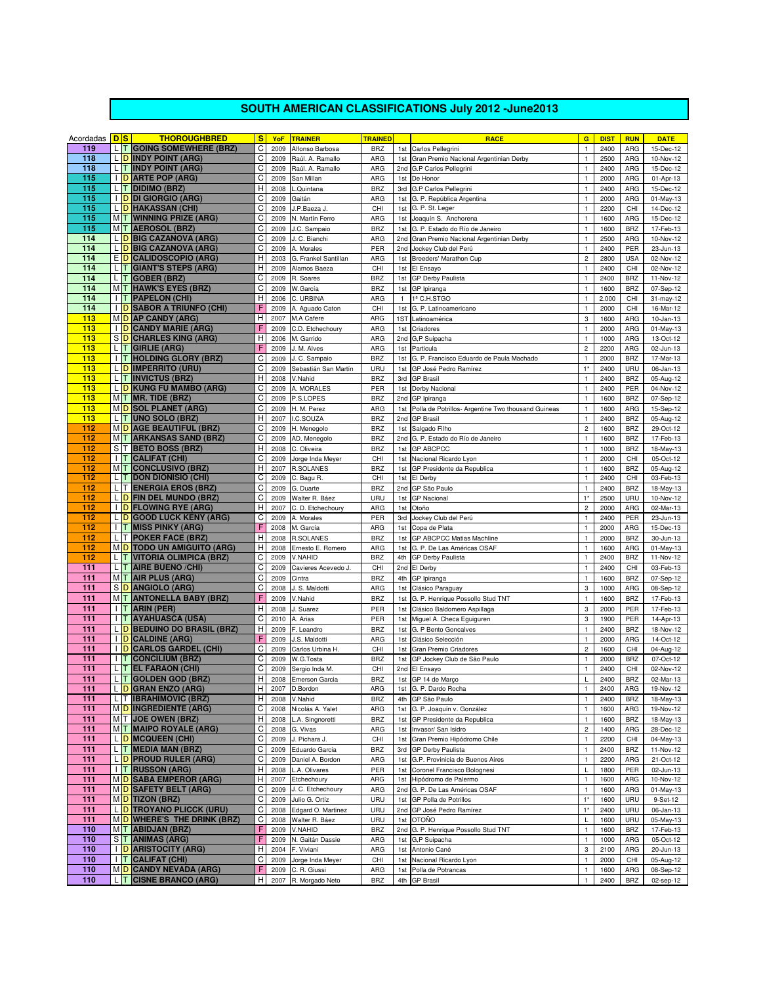## **SOUTH AMERICAN CLASSIFICATIONS July 2012 -June2013**

| Acordadas <b>DS</b> |     | <b>THOROUGHBRED</b>                                          | s              | <b>YoF</b>   | <b>TRAINER</b>                    | <b>TRAINED</b>           |              | <b>RACE</b>                                                 | $\mathbf{G}$                            | <b>DIST</b>   | <b>RUN</b>               | <b>DATE</b>            |
|---------------------|-----|--------------------------------------------------------------|----------------|--------------|-----------------------------------|--------------------------|--------------|-------------------------------------------------------------|-----------------------------------------|---------------|--------------------------|------------------------|
| 119                 |     | L T GOING SOMEWHERE (BRZ)                                    | C              | 2009         | Alfonso Barbosa                   | <b>BRZ</b>               | 1st          | Carlos Pellegrini                                           | $\mathbf{1}$                            | 2400          | ARG                      | 15-Dec-12              |
| 118                 |     | L D INDY POINT (ARG)                                         | C              | 2009         | Raúl. A. Ramallo                  | ARG                      | 1st          | Gran Premio Nacional Argentinian Derby                      | $\mathbf{1}$                            | 2500          | ARG                      | 10-Nov-12              |
| 118                 |     | L T INDY POINT (ARG)                                         | C              | 2009         | Raúl, A. Ramallo                  | ARG                      | 2nd          | G.P Carlos Pellegrini                                       | $\mathbf{1}$                            | 2400          | ARG                      | 15-Dec-12              |
| 115                 |     | I D ARTE POP (ARG)                                           | C              | 2009         | San Millan                        | ARG                      | 1st          | De Honor                                                    | $\mathbf{1}$                            | 2000          | ARG                      | 01-Apr-13              |
| 115<br>115          |     | L T DIDIMO (BRZ)<br><b>I D DI GIORGIO (ARG)</b>              | H<br>C         | 2008<br>2009 | .Quintana<br>Gaitán               | <b>BRZ</b><br>ARG        |              | 3rd G.P Carlos Pellegrini<br>1st G. P. República Argentina  | $\mathbf{1}$<br>$\mathbf{1}$            | 2400<br>2000  | ARG<br>ARG               | 15-Dec-12<br>01-May-13 |
| 115                 |     | L D HAKASSAN (CHI)                                           | C              | 2009         | J.P.Baeza J.                      | CHI                      | 1st          | G. P. St. Leger                                             | $\mathbf 1$                             | 2200          | CHI                      | 14-Dec-12              |
| 115                 |     | MT WINNING PRIZE (ARG)                                       | C              | 2009         | N. Martín Ferro                   | ARG                      | 1st          | Joaquín S. Anchorena                                        | $\mathbf{1}$                            | 1600          | ARG                      | 15-Dec-12              |
| 115                 |     | MT AEROSOL (BRZ)                                             | C              | 2009         | J.C. Sampaio                      | <b>BRZ</b>               | 1st          | G. P. Estado do Río de Janeiro                              | $\mathbf{1}$                            | 1600          | <b>BRZ</b>               | 17-Feb-13              |
| 114                 |     | L D BIG CAZANOVA (ARG)                                       | C              | 2009         | J. C. Bianchi                     | ARG                      | 2nd          | Gran Premio Nacional Argentinian Derby                      | $\mathbf 1$                             | 2500          | ARG                      | 10-Nov-12              |
| 114                 |     | L D BIG CAZANOVA (ARG)                                       | C              | 2009         | A. Morales                        | PER                      | 2nd          | Jockey Club del Perú                                        | $\mathbf{1}$                            | 2400          | PER                      | 23-Jun-13              |
| 114                 |     | E D CALIDOSCOPIO (ARG)                                       | Н              | 2003         | G. Frankel Santillan              | ARG                      | 1st          | Breeders' Marathon Cup                                      | $\overline{c}$                          | 2800          | <b>USA</b>               | 02-Nov-12              |
| 114                 |     | L T GIANT'S STEPS (ARG)                                      | Н              | 2009         | Alamos Baeza                      | CHI                      | 1st          | El Ensayo                                                   | $\mathbf{1}$                            | 2400          | CHI                      | 02-Nov-12              |
| 114                 |     | L T GOBER (BRZ)                                              | C              | 2009         | R. Soares                         | <b>BRZ</b>               | 1st          | GP Derby Paulista                                           | $\mathbf{1}$                            | 2400          | <b>BRZ</b>               | 11-Nov-12              |
| 114                 |     | MT HAWK'S EYES (BRZ)                                         | C              | 2009         | W.García                          | <b>BRZ</b>               |              | 1st GP Ipiranga                                             | $\mathbf{1}$                            | 1600          | <b>BRZ</b>               | 07-Sep-12              |
| 114<br>114          |     | I T PAPELON (CHI)<br>I D SABOR A TRIUNFO (CHI)               | H<br>F         | 2006<br>2009 | C. URBINA                         | ARG<br>CHI               | $\mathbf{1}$ | 1º C.H.STGO                                                 | $\mathbf{1}$<br>$\mathbf{1}$            | 2.000<br>2000 | CHI<br>CHI               | 31-may-12<br>16-Mar-12 |
| 113                 |     | MD AP CANDY (ARG)                                            | Н              | 2007         | A. Aguado Caton<br>M.A Cafere     | ARG                      | 1st<br>1ST   | G. P. Latinoamericano<br>Latinoamérica                      | 3                                       | 1600          | ARG                      | $10 - Jan-13$          |
| 113                 |     | <b>I</b> D CANDY MARIE (ARG)                                 | F              | 2009         | C.D. Etchechoury                  | ARG                      | 1st          | Criadores                                                   | $\mathbf 1$                             | 2000          | ARG                      | 01-May-13              |
| 113                 |     | S D CHARLES KING (ARG)                                       | H              | 2006         | M. Garrido                        | ARG                      | 2nd          | G,P Suipacha                                                | $\mathbf{1}$                            | 1000          | ARG                      | 13-Oct-12              |
| 113                 |     | $L$ T GIRLIE (ARG)                                           |                | 2009         | J. M. Alves                       | ARG                      | 1st          | Particula                                                   | $\overline{c}$                          | 2200          | ARG                      | 02-Jun-13              |
| 113                 |     | <b>I T HOLDING GLORY (BRZ)</b>                               | C              | 2009         | J. C. Sampaio                     | <b>BRZ</b>               | 1st          | G. P. Francisco Eduardo de Paula Machado                    | $\mathbf 1$                             | 2000          | <b>BRZ</b>               | 17-Mar-13              |
| 113                 |     | L D IMPERRITO (URU)                                          | C              | 2009         | Sebastián San Martín              | URU                      | 1st          | GP José Pedro Ramírez                                       | $1*$                                    | 2400          | URU                      | 06-Jan-13              |
| 113                 |     | L T INVICTUS (BRZ)                                           | Н              | 2008         | V.Nahid                           | <b>BRZ</b>               | 3rd          | <b>GP Brasil</b>                                            | $\mathbf{1}$                            | 2400          | <b>BRZ</b>               | 05-Aug-12              |
| 113                 |     | L D KUNG FU MAMBO (ARG)                                      | C              | 2009         | A. MORALES                        | PER                      | 1st          | Derby Nacional                                              | $\mathbf{1}$                            | 2400          | PER                      | 04-Nov-12              |
| 113                 |     | $M$ T MR. TIDE (BRZ)                                         | C              | 2009         | P.S.LOPES                         | <b>BRZ</b>               | 2nd          | GP Ipiranga                                                 | $\mathbf{1}$                            | 1600          | <b>BRZ</b>               | 07-Sep-12              |
| 113                 |     | MO SOL PLANET (ARG)                                          | C              | 2009         | H. M. Perez                       | ARG                      | 1st          | Polla de Potrillos- Argentine Two thousand Guineas          | $\mathbf{1}$                            | 1600          | ARG                      | 15-Sep-12              |
| 113<br>112          |     | L T UNO SOLO (BRZ)                                           | Н<br>C         | 2007         | I.C.SOUZA                         | <b>BRZ</b>               | 2nd          | <b>GP Brasil</b>                                            | $\mathbf{1}$                            | 2400          | <b>BRZ</b>               | 05-Aug-12              |
| 112                 |     | MO AGE BEAUTIFUL (BRZ)<br>MT ARKANSAS SAND (BRZ)             | C              | 2009<br>2009 | H. Menegolo<br>AD. Menegolo       | <b>BRZ</b><br><b>BRZ</b> | 1st<br>2nd   | Salgado Filho<br>G. P. Estado do Río de Janeiro             | $\overline{\mathbf{c}}$<br>$\mathbf{1}$ | 1600<br>1600  | <b>BRZ</b><br><b>BRZ</b> | 29-Oct-12              |
| 112                 |     | S T BETO BOSS (BRZ)                                          | н              | 2008         | C. Oliveira                       | <b>BRZ</b>               |              | 1st GP ABCPCC                                               | $\mathbf{1}$                            | 1000          | <b>BRZ</b>               | 17-Feb-13<br>18-May-13 |
| 112                 |     | <b>I T CALIFAT (CHI)</b>                                     | C              | 2009         | Jorge Inda Meyer                  | CHI                      | 1st          | Nacional Ricardo Lyon                                       | $\mathbf 1$                             | 2000          | CHI                      | 05-Oct-12              |
| 112                 |     | MT CONCLUSIVO (BRZ)                                          | H              | 2007         | <b>R.SOLANES</b>                  | <b>BRZ</b>               | 1st          | GP Presidente da Republica                                  | $\mathbf{1}$                            | 1600          | <b>BRZ</b>               | 05-Aug-12              |
| 112                 |     | L T DON DIONISIO (CHI)                                       | C              | 2009         | C. Bagu R.                        | CHI                      | 1st          | El Derby                                                    | $\mathbf{1}$                            | 2400          | CHI                      | 03-Feb-13              |
| 112                 |     | L T ENERGIA EROS (BRZ)                                       | C              | 2009         | G. Duarte                         | <b>BRZ</b>               | 2nd          | GP São Paulo                                                | $\mathbf{1}$                            | 2400          | <b>BRZ</b>               | 18-May-13              |
| 112                 |     | L D FIN DEL MUNDO (BRZ)                                      | C              | 2009         | Walter R. Báez                    | URU                      | 1st          | <b>GP Nacional</b>                                          | $1*$                                    | 2500          | URU                      | 10-Nov-12              |
| 112                 |     | <b>I</b> D FLOWING RYE (ARG)                                 | H              | 2007         | C. D. Etchechoury                 | ARG                      | 1st          | Otoño                                                       | $\overline{c}$                          | 2000          | ARG                      | 02-Mar-13              |
| 112                 |     | L D GOOD LUCK KENY (ARG)                                     | C              | 2009         | A. Morales                        | PER                      | 3rd          | Jockey Club del Perú                                        | $\mathbf{1}$                            | 2400          | PER                      | 23-Jun-13              |
| 112<br>112          |     | <b>I T MISS PINKY (ARG)</b><br>L T POKER FACE (BRZ)          | F<br>Н         | 2008         | M. García<br><b>R.SOLANES</b>     | ARG<br><b>BRZ</b>        | 1st          | Copa de Plata                                               | $\mathbf{1}$<br>$\mathbf{1}$            | 2000<br>2000  | ARG<br><b>BRZ</b>        | 15-Dec-13<br>30-Jun-13 |
| 112                 |     | M D TODO UN AMIGUITO (ARG)                                   | Н              | 2008<br>2008 | Ernesto E. Romero                 | ARG                      | 1st          | 1st GP ABCPCC Matias Machline<br>G. P. De Las Américas OSAF | $\mathbf{1}$                            | 1600          | ARG                      | 01-May-13              |
| 112                 |     | L T VITORIA OLIMPICA (BRZ)                                   | С              | 2009         | V.NAHID                           | <b>BRZ</b>               | 4th          | GP Derby Paulista                                           | $\mathbf{1}$                            | 2400          | <b>BRZ</b>               | 11-Nov-12              |
| 111                 |     | L T AIRE BUENO / CHI)                                        | C              | 2009         | Cavieres Acevedo J.               | CHI                      |              | 2nd El Derby                                                | $\mathbf{1}$                            | 2400          | CHI                      | 03-Feb-13              |
| 111                 |     | M T AIR PLUS (ARG)                                           | C              | 2009         | Cintra                            | <b>BRZ</b>               | 4th          | GP Ipiranga                                                 | $\mathbf{1}$                            | 1600          | <b>BRZ</b>               | 07-Sep-12              |
| 111                 |     | S D ANGIOLO (ARG)                                            | C              | 2008         | J. S. Maldotti                    | ARG                      | 1st          | Clásico Paraguay                                            | 3                                       | 1000          | ARG                      | 08-Sep-12              |
| 111                 |     | MT ANTONELLA BABY (BRZ)                                      | F              | 2009         | V.Nahid                           | <b>BRZ</b>               | 1st          | G. P. Henrique Possollo Stud TNT                            | $\mathbf{1}$                            | 1600          | <b>BRZ</b>               | 17-Feb-13              |
| 111                 |     | I T ARIN (PER)                                               | Н              | 2008         | Suarez                            | PER                      | 1st          | Clásico Baldomero Aspillaga                                 | 3                                       | 2000          | PER                      | 17-Feb-13              |
| 111                 |     | <b>I T AYAHUASCA (USA)</b>                                   | C              | 2010         | A. Arias                          | PER                      | 1st          | Miguel A. Checa Equiguren                                   | 3                                       | 1900          | PER                      | 14-Apr-13              |
| 111                 |     | L D BEDUINO DO BRASIL (BRZ)                                  | Н              | 2009         | F. Leandro                        | <b>BRZ</b>               | 1st          | G. P Bento Goncalves                                        | $\mathbf{1}$                            | 2400          | <b>BRZ</b>               | 18-Nov-12              |
| 111                 |     | <b>I</b> D CALDINE (ARG)                                     |                | 2009         | J.S. Maldotti                     | ARG                      | 1st          | Clásico Selección                                           | $\mathbf{1}$                            | 2000          | ARG                      | 14-Oct-12              |
| 111<br>111          |     | <b>I</b> D CARLOS GARDEL (CHI)<br><b>I T CONCILIUM (BRZ)</b> | C<br>C         | 2009<br>2009 | Carlos Urbina H.<br>W.G.Tosta     | CHI<br><b>BRZ</b>        | 1st<br>1st   | Gran Premio Criadores<br>GP Jockey Club de São Paulo        | $\mathbf 2$<br>$\mathbf{1}$             | 1600<br>2000  | CHI<br><b>BRZ</b>        | 04-Aug-12<br>07-Oct-12 |
| 111                 |     | L T EL FARAON (CHI)                                          | C              | 2009         | Sergio Inda M.                    | CHI                      |              | 2nd El Ensayo                                               | $\mathbf{1}$                            | 2400          | CHI                      | 02-Nov-12              |
| 111                 |     | L T GOLDEN GOD (BRZ)                                         | н              | 2008         | <b>Emerson Garcia</b>             | <b>BRZ</b>               |              | 1st GP 14 de Marco                                          | L                                       | 2400          | <b>BRZ</b>               | 02-Mar-13              |
| 111                 |     | L D GRAN ENZO (ARG)                                          | $\overline{H}$ |              | 2007 D.Bordon                     | ARG                      |              | 1st G. P. Dardo Rocha                                       | $\mathbf{1}$                            | 2400          |                          | ARG 19-Nov-12          |
| 111                 |     | L T IBRAHIMOVIC (BRZ)                                        | н              | 2008         | V.Nahid                           | <b>BRZ</b>               | 4th          | GP São Paulo                                                | $\mathbf{1}$                            | 2400          | <b>BRZ</b>               | 18-May-13              |
| 111                 |     | MO INGREDIENTE (ARG)                                         | С              | 2008         | Nicolás A. Yalet                  | ARG                      | 1st          | G. P. Joaquín v. González                                   | $\mathbf{1}$                            | 1600          | ARG                      | 19-Nov-12              |
| 111                 |     | M T JOE OWEN (BRZ)                                           | н              | 2008         | L.A. Singnoretti                  | <b>BRZ</b>               | 1st          | GP Presidente da Republica                                  | $\mathbf{1}$                            | 1600          | <b>BRZ</b>               | 18-May-13              |
| 111                 |     | MT MAIPO ROYALE (ARG)                                        | C              | 2008         | G. Vivas                          | ARG                      | 1st          | Invasor/ San Isidro                                         | $\overline{c}$                          | 1400          | ARG                      | 28-Dec-12              |
| 111                 |     | L D MCQUEEN (CHI)                                            | C              | 2009         | J. Pichara J.                     | CHI                      | 1st          | Gran Premio Hipódromo Chile                                 | $\mathbf{1}$                            | 2200          | CHI                      | 04-May-13              |
| 111<br>111          |     | L T MEDIA MAN (BRZ)<br>L D PROUD RULER (ARG)                 | C<br>C         | 2009         | Eduardo Garcia                    | <b>BRZ</b>               | 3rd          | GP Derby Paulista<br>G.P. Provinicia de Buenos Aires        | $\mathbf{1}$<br>$\mathbf{1}$            | 2400          | <b>BRZ</b>               | 11-Nov-12              |
| 111                 |     | <b>I T RUSSON (ARG)</b>                                      | Н              | 2009<br>2008 | Daniel A. Bordon<br>L.A. Olivares | ARG<br>PER               | 1st<br>1st   | Coronel Francisco Bolognesi                                 | L                                       | 2200<br>1800  | ARG<br>PER               | 21-Oct-12<br>02-Jun-13 |
| 111                 |     | MO SABA EMPEROR (ARG)                                        | Н              | 2007         | Etchechoury                       | ARG                      | 1st          | Hipódromo de Palermo                                        | $\mathbf{1}$                            | 1600          | ARG                      | 10-Nov-12              |
| 111                 |     | M D SAFETY BELT (ARG)                                        | C              | 2009         | J. C. Etchechoury                 | ARG                      | 2nd          | G. P. De Las Américas OSAF                                  | $\mathbf{1}$                            | 1600          | ARG                      | 01-May-13              |
| 111                 |     | MD TIZON (BRZ)                                               | C              | 2009         | Julio G. Ortíz                    | URU                      | 1st          | GP Polla de Potrillos                                       | $1*$                                    | 1600          | URU                      | 9-Set-12               |
| 111                 |     | L D TROYANO PLICCK (URU)                                     | C              | 2008         | Edgard O. Martinez                | URU                      | 2nd          | GP José Pedro Ramírez                                       | $1*$                                    | 2400          | URU                      | 06-Jan-13              |
| 111                 |     | MD WHERE'S THE DRINK (BRZ)                                   | С              | 2008         | Walter R. Báez                    | URU                      | 1st          | <b>OTOÑO</b>                                                | L                                       | 1600          | URU                      | 05-May-13              |
| 110                 |     | M T ABIDJAN (BRZ)                                            | F              | 2009         | V.NAHID                           | <b>BRZ</b>               | 2nd          | G. P. Henrique Possollo Stud TNT                            | $\mathbf{1}$                            | 1600          | <b>BRZ</b>               | 17-Feb-13              |
| 110                 |     | S T ANIMAS (ARG)                                             | F              | 2009         | N. Gaitán Dassie                  | ARG                      | 1st          | G,P Suipacha                                                | $\mathbf{1}$                            | 1000          | ARG                      | 05-Oct-12              |
| 110<br>110          |     | <b>I</b> D ARISTOCITY (ARG)<br>I T CALIFAT (CHI)             | Н<br>C         | 2004         | F. Viviani                        | ARG                      | 1st          | Antonio Cané                                                | 3<br>$\mathbf{1}$                       | 2100          | ARG<br>CHI               | 20-Jun-13              |
| 110                 |     | M D CANDY NEVADA (ARG)                                       | F              | 2009<br>2009 | Jorge Inda Meyer<br>C. R. Giussi  | CHI<br>ARG               | 1st<br>1st   | Nacional Ricardo Lyon<br>Polla de Potrancas                 | $\mathbf{1}$                            | 2000<br>1600  | ARG                      | 05-Aug-12<br>08-Sep-12 |
| 110                 | L T | <b>CISNE BRANCO (ARG)</b>                                    | Н              | 2007         | R. Morgado Neto                   | <b>BRZ</b>               | 4th          | <b>GP Brasil</b>                                            | $\mathbf{1}$                            | 2400          | <b>BRZ</b>               | 02-sep-12              |
|                     |     |                                                              |                |              |                                   |                          |              |                                                             |                                         |               |                          |                        |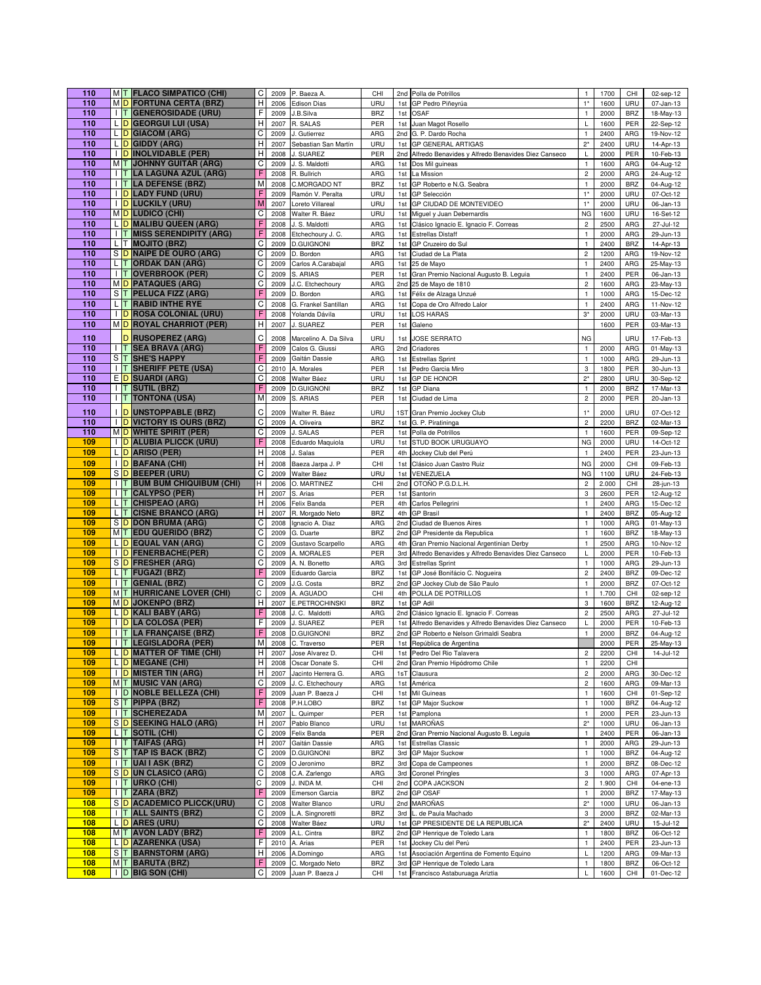| 110        |           | MT FLACO SIMPATICO (CHI)                             | C      | 2009         | P. Baeza A                         | CHI               |            | 2nd Polla de Potrillos                                           | $\mathbf{1}$                                | 1700          | CHI               | 02-sep-12              |
|------------|-----------|------------------------------------------------------|--------|--------------|------------------------------------|-------------------|------------|------------------------------------------------------------------|---------------------------------------------|---------------|-------------------|------------------------|
| 110        |           | MO FORTUNA CERTA (BRZ)                               | н      | 2006         | <b>Edison Dias</b>                 | URU               | 1st        | GP Pedro Piñeyrúa                                                | $1*$                                        | 1600          | URU               | 07-Jan-13              |
| 110        |           | <b>I T GENEROSIDADE (URU)</b>                        | F      | 2009         | J.B.Silva                          | <b>BRZ</b>        | 1st        | <b>OSAF</b>                                                      | $\mathbf{1}$                                | 2000          | <b>BRZ</b>        | 18-May-13              |
| 110        |           | L D GEORGUI LUI (USA)                                | н      | 2007         | R. SALAS                           | PER               | 1st        | Juan Magot Rosello                                               | L                                           | 1600          | PER               | 22-Sep-12              |
| 110        |           | L D GIACOM (ARG)                                     | С      | 2009         | J. Gutierrez                       | ARG               |            | 2nd G. P. Dardo Rocha                                            | $\mathbf{1}$                                | 2400          | ARG               | 19-Nov-12              |
| 110        |           | L D GIDDY (ARG)                                      | н      | 2007         | Sebastian San Martín               | URU               | 1st        | <b>GP GENERAL ARTIGAS</b>                                        | $2^*$                                       | 2400          | URU               | 14-Apr-13              |
| 110        |           | I D INOLVIDABLE (PER)                                | H      | 2008         | J. SUAREZ                          | PER               | 2nd        | Alfredo Benavides y Alfredo Benavides Diez Canseco               | Г                                           | 2000          | PER               | 10-Feb-13              |
| 110        |           | MT JOHNNY GUITAR (ARG)                               | С      | 2009         | J. S. Maldotti                     | ARG               |            | 1st Dos Mil guineas                                              | $\mathbf{1}$                                | 1600          | ARG               | 04-Aug-12              |
| 110        |           | <b>I T LA LAGUNA AZUL (ARG)</b>                      | F      | 2008         | R. Bullrich                        | ARG               | 1st        | La Mission                                                       | $\sqrt{2}$                                  | 2000          | ARG               | 24-Aug-12              |
| 110        |           | <b>I T LA DEFENSE (BRZ)</b>                          | M      | 2008         | C.MORGADO NT                       | <b>BRZ</b>        | 1st        | GP Roberto e N.G. Seabra                                         | $\mathbf{1}$                                | 2000          | <b>BRZ</b>        | 04-Aug-12              |
| 110        |           | <b>I</b> D LADY FUND (URU)                           | F      | 2009         | Ramón V. Peralta                   | URU               |            | 1st GP Selección                                                 | $1*$                                        | 2000          | URU               | 07-Oct-12              |
| 110        |           | <b>I</b> D LUCKILY (URU)                             | M      | 2007         | Loreto Villareal                   | URU               | 1st        | GP CIUDAD DE MONTEVIDEO                                          | $1*$                                        | 2000          | URU               | 06-Jan-13              |
| 110        |           | MD LUDICO (CHI)                                      | С      | 2008         | Walter R. Báez                     | URU               | 1st        | Miguel y Juan Debernardis                                        | <b>NG</b>                                   | 1600          | URU               | 16-Set-12              |
| 110        |           | L D MALIBU QUEEN (ARG)                               | F      | 2008         | J. S. Maldotti                     | ARG               |            | 1st Clásico Ignacio E. Ignacio F. Correas                        | $\sqrt{2}$                                  | 2500          | ARG               | 27-Jul-12              |
| 110        |           | <b>I T MISS SERENDIPITY (ARG)</b>                    | F      | 2008         | Etchechoury J. C.                  | ARG               | 1st        | <b>Estrellas Distaff</b>                                         | $\mathbf{1}$                                | 2000          | ARG               | 29-Jun-13              |
| 110        |           | L T MOJITO (BRZ)                                     | C      | 2009         | <b>D.GUIGNONI</b><br>D. Bordon     | <b>BRZ</b>        | 1st        | GP Cruzeiro do Sul                                               | $\mathbf{1}$                                | 2400          | <b>BRZ</b>        | 14-Apr-13<br>19-Nov-12 |
| 110        |           | S D NAIPE DE OURO (ARG)                              | С<br>C | 2009         |                                    | ARG               | 1st        | Ciudad de La Plata                                               | $\overline{c}$                              | 1200          | ARG               |                        |
| 110<br>110 |           | L T ORDAK DAN (ARG)                                  | C      | 2009         | Carlos A.Carabajal                 | ARG               | 1st        | 25 de Mayo                                                       | $\mathbf{1}$                                | 2400          | ARG               | 25-May-13              |
| 110        |           | <b>I T OVERBROOK (PER)</b><br>MD PATAQUES (ARG)      | С      | 2009<br>2009 | S. ARIAS                           | PER<br>ARG        | 1st        | Gran Premio Nacional Augusto B. Leguia<br>2nd 25 de Mayo de 1810 | $\mathbf{1}$<br>$\sqrt{2}$                  | 2400<br>1600  | PER<br>ARG        | 06-Jan-13              |
| 110        |           | S T PELUCA FIZZ (ARG)                                | F      |              | J.C. Etchechoury                   | ARG               |            |                                                                  | $\mathbf{1}$                                | 1000          | ARG               | 23-May-13              |
| 110        |           | L T RABID INTHE RYE                                  | C      | 2009         | D. Bordon                          |                   |            | 1st Félix de Alzaga Unzué                                        |                                             |               |                   | 15-Dec-12              |
| 110        |           | <b>I</b> D ROSA COLONIAL (URU)                       | F      | 2008         | G. Frankel Santillan               | ARG<br>URU        | 1st<br>1st | Copa de Oro Alfredo Lalor<br><b>LOS HARAS</b>                    | $\mathbf{1}$<br>$3*$                        | 2400<br>2000  | ARG<br>URU        | 11-Nov-12              |
| 110        |           | MOROYAL CHARRIOT (PER)                               | н      | 2008<br>2007 | Yolanda Dávila<br>J. SUAREZ        | PER               |            |                                                                  |                                             | 1600          | PER               | 03-Mar-13<br>03-Mar-13 |
|            |           |                                                      |        |              |                                    |                   | 1st        | Galeno                                                           |                                             |               |                   |                        |
| 110        |           | D RUSOPEREZ (ARG)                                    | C      | 2008         | Marcelino A. Da Silva              | URU               | 1st        | <b>JOSE SERRATO</b>                                              | <b>NG</b>                                   |               | URU               | 17-Feb-13              |
| 110        |           | <b>I T SEA BRAVA (ARG)</b>                           | F      | 2009         | Calos G. Giussi                    | ARG               |            | 2nd Criadores                                                    | $\mathbf{1}$                                | 2000          | ARG               | 01-May-13              |
| 110        |           | S T SHE'S HAPPY                                      |        | 2009         | Gaitán Dassie                      | ARG               |            | 1st Estrellas Sprint                                             | $\mathbf{1}$                                | 1000          | ARG               | 29-Jun-13              |
| 110        |           | I T SHERIFF PETE (USA)                               | C      | 2010         | A. Morales                         | PER               | 1st        | Pedro Garcia Miro                                                | 3                                           | 1800          | PER               | 30-Jun-13              |
| 110        |           | E D SUARDI (ARG)                                     | C      | 2008         | Walter Báez                        | URU               | 1st        | <b>GP DE HONOR</b>                                               | $2^*$                                       | 2800          | URU               | 30-Sep-12              |
| 110        |           | I T SUTIL (BRZ)                                      |        | 2009         | <b>D.GUIGNONI</b>                  | <b>BRZ</b>        | 1st        | <b>GP</b> Diana                                                  | $\mathbf{1}$                                | 2000          | <b>BRZ</b>        | 17-Mar-13              |
| 110        |           | <b>T TONTONA (USA)</b>                               | М      | 2009         | S. ARIAS                           | PER               | 1st        | Ciudad de Lima                                                   | $\sqrt{2}$                                  | 2000          | PER               | 20-Jan-13              |
| 110        |           | <b>DUNSTOPPABLE (BRZ)</b>                            | C      | 2009         | Walter R. Báez                     | URU               |            | 1ST Gran Premio Jockey Club                                      | $1*$                                        | 2000          | URU               | 07-Oct-12              |
| 110        |           | <b>I</b> D VICTORY IS OURS (BRZ)                     | С      | 2009         | A. Oliveira                        | <b>BRZ</b>        |            | 1st G. P. Piratininga                                            | $\overline{c}$                              | 2200          | <b>BRZ</b>        | 02-Mar-13              |
| 110        |           | MO WHITE SPIRIT (PER)                                | С      | 2009         | J. SALAS                           | PER               |            | 1st Polla de Potrillos                                           | $\mathbf{1}$                                | 1600          | PER               | 09-Sep-12              |
| 109        |           | <b>I D ALUBIA PLICCK (URU)</b>                       | F      | 2008         | Eduardo Maquiola                   | URU               | 1st        | STUD BOOK URUGUAYO                                               | <b>NG</b>                                   | 2000          | URU               | 14-Oct-12              |
| 109        |           | L D ARISO (PER)                                      | Н      | 2008         | . Salas                            | PER               | 4th        | Jockey Club del Perú                                             | $\mathbf{1}$                                | 2400          | PER               | 23-Jun-13              |
| 109        |           | I D BAFANA (CHI)                                     | Н      | 2008         | Baeza Jarpa J. P                   | CHI               | 1st        | Clásico Juan Castro Ruiz                                         | <b>NG</b>                                   | 2000          | CHI               | 09-Feb-13              |
| 109        |           | S D BEEPER (URU)                                     | С      | 2009         | Walter Báez                        | URU               |            | 1st VENEZUELA                                                    | <b>NG</b>                                   | 1100          | URU               | 24-Feb-13              |
| 109        |           | <b>I T BUM BUM CHIQUIBUM (CHI)</b>                   | H      | 2006         | O. MARTINEZ                        | CHI               | 2nd        | OTOÑO P.G.D.L.H.                                                 | $\sqrt{2}$                                  | 2.000         | CHI               | 28-jun-13              |
| 109        | <b>IT</b> | <b>CALYPSO (PER)</b>                                 | н      | 2007         | S. Arias                           | PER               | 1st        | Santorin                                                         | 3                                           | 2600          | PER               | 12-Aug-12              |
| 109        | L IT.     | <b>CHISPEAO (ARG)</b>                                | н      | 2006         | Felix Banda                        | PER               | 4th        | Carlos Pellegrini                                                | $\mathbf{1}$                                | 2400          | ARG               | 15-Dec-12              |
| 109        |           | L T CISNE BRANCO (ARG)                               | н      | 2007         | R. Morgado Neto                    | <b>BRZ</b>        | 4th        | <b>GP Brasil</b>                                                 | $\mathbf 1$                                 | 2400          | <b>BRZ</b>        | 05-Aug-12              |
| 109        |           | S D DON BRUMA (ARG)                                  | С      | 2008         | Ignacio A. Diaz                    | ARG               | 2nd        | Ciudad de Buenos Aires                                           | $\mathbf{1}$                                | 1000          | ARG               | 01-May-13              |
| 109        |           | MT EDU QUERIDO (BRZ)                                 | C      | 2009         | G. Duarte                          | <b>BRZ</b>        | 2nd        | GP Presidente da Republica                                       | $\mathbf{1}$                                | 1600          | <b>BRZ</b>        | 18-May-13              |
| 109        |           | L D EQUAL VAN (ARG)                                  | C      | 2009         | Gustavo Scarpello                  | ARG               | 4th        | Gran Premio Nacional Argentinian Derby                           | $\mathbf{1}$                                | 2500          | ARG               | 10-Nov-12              |
| 109        |           | I D FENERBACHE(PER)                                  | C      | 2009         | A. MORALES                         | PER               | 3rd        | Alfredo Benavides y Alfredo Benavides Diez Canseco               | Г                                           | 2000          | PER               | 10-Feb-13              |
| 109        |           | S D FRESHER (ARG)                                    | С      | 2009         | A. N. Bonetto                      | ARG               |            | 3rd Estrellas Sprint                                             | $\mathbf{1}$                                | 1000          | ARG               | 29-Jun-13              |
| 109<br>109 |           | L T FUGAZI (BRZ)                                     | F<br>C | 2009         | Eduardo Garcia                     | <b>BRZ</b>        | 1st        | GP José Bonifácio C. Nogueira                                    | $\sqrt{2}$                                  | 2400          | <b>BRZ</b>        | 09-Dec-12              |
| 109        |           | <b>I</b> T GENIAL (BRZ)<br>M T HURRICANE LOVER (CHI) | С      | 2009         | J.G. Costa<br>A. AGUADO            | <b>BRZ</b><br>CHI | 2nd        | GP Jockey Club de São Paulo<br>4th POLLA DE POTRILLOS            | $\mathbf{1}$<br>$\mathbf{1}$                | 2000<br>1.700 | <b>BRZ</b><br>CHI | 07-Oct-12<br>02-sep-12 |
| 109        |           |                                                      | н      | 2009         |                                    |                   |            |                                                                  |                                             |               |                   |                        |
| 109        |           | M D JOKENPO (BRZ)<br>L D KALI BABY (ARG)             | F      | 2007<br>2008 | E.PETROCHINSKI<br>J. C. Maldotti   | <b>BRZ</b><br>ARG | 1st<br>2nd | <b>GP Adil</b><br>Clásico Ignacio E. Ignacio F. Correas          | $\ensuremath{\mathsf{3}}$<br>$\overline{c}$ | 1600<br>2500  | <b>BRZ</b><br>ARG | 12-Aug-12<br>27-Jul-12 |
| 109        |           | I D LA COLOSA (PER)                                  | F      | 2009         | J. SUAREZ                          | PER               | 1st        | Alfredo Benavides y Alfredo Benavides Diez Canseco               | L                                           | 2000          | PER               | 10-Feb-13              |
| 109        |           | <b>I T LA FRANÇAISE (BRZ)</b>                        | F      | 2008         | <b>D.GUIGNONI</b>                  | <b>BRZ</b>        |            | 2nd GP Roberto e Nelson Grimaldi Seabra                          | $\mathbf{1}$                                | 2000          | <b>BRZ</b>        | 04-Aug-12              |
| 109        |           | I T LEGISLADORA (PER)                                | M      |              | 2008 C. Traverso                   | PER               |            | 1st República de Argentina                                       |                                             | 2000          | PER I             | 25-May-13              |
| 109        |           | L D MATTER OF TIME (CHI)                             | н      | 2007         | Jose Alvarez D.                    | CHI               |            | 1st Pedro Del Rio Talavera                                       | $\overline{c}$                              | 2200          | CHI               | 14-Jul-12              |
| 109        |           | L D MEGANE (CHI)                                     | н      | 2008         | Oscar Donate S.                    | CHI               | 2nd        | Gran Premio Hipódromo Chile                                      | $\mathbf{1}$                                | 2200          | CHI               |                        |
| 109        |           | <b>I</b> D MISTER TIN (ARG)                          | Н      | 2007         | Jacinto Herrera G.                 | ARG               | 1sT        | Clausura                                                         | $\overline{c}$                              | 2000          | ARG               | 30-Dec-12              |
| 109        |           | MT MUSIC VAN (ARG)                                   | С      | 2009         | J. C. Etchechoury                  | ARG               |            | 1st América                                                      | $\overline{c}$                              | 1600          | ARG               | 09-Mar-13              |
| 109        |           | <b>I</b> D NOBLE BELLEZA (CHI)                       | F      | 2009         | Juan P. Baeza J                    | CHI               | 1st        | Mil Guineas                                                      | $\mathbf 1$                                 | 1600          | CHI               | 01-Sep-12              |
| 109        |           | ST PIPPA (BRZ)                                       | F      | 2008         | P.H.LOBO                           | <b>BRZ</b>        | 1st        | GP Major Suckow                                                  | $\mathbf{1}$                                | 1000          | <b>BRZ</b>        | 04-Aug-12              |
| 109        |           | <b>I T SCHEREZADA</b>                                | M      | 2007         | Quimper                            | PER               | 1st        | Pamplona                                                         | $\overline{1}$                              | 2000          | PER               | 23-Jun-13              |
|            |           | S D SEEKING HALO (ARG)                               | Н      | 2007         | Pablo Blanco                       | URU               | 1st        | <b>MAROÑAS</b>                                                   | $2^\star$                                   | 1000          | URU               | 06-Jan-13              |
| 109        |           | L T SOTIL (CHI)                                      |        |              |                                    |                   |            | Gran Premio Nacional Augusto B. Leguia                           | $\mathbf{1}$                                |               |                   | 06-Jan-13              |
| 109        |           |                                                      | C      | 2009         | Felix Banda                        | PER               | 2nd        |                                                                  |                                             | 2400          | PER               |                        |
| 109        |           | <b>T TAIFAS (ARG)</b>                                | н      | 2007         | Gaitán Dassie                      | ARG               | 1st        | <b>Estrellas Classic</b>                                         | 1                                           | 2000          | ARG               | 29-Jun-13              |
| 109        |           | ST TAP IS BACK (BRZ)                                 | С      | 2009         | <b>D.GUIGNONI</b>                  | <b>BRZ</b>        | 3rd        | <b>GP Major Suckow</b>                                           | $\mathbf 1$                                 | 1000          | <b>BRZ</b>        | 04-Aug-12              |
| 109        |           | <b>I</b> T UAI I ASK (BRZ)                           | C      | 2009         | O Jeronimo                         | <b>BRZ</b>        | 3rd        | Copa de Campeones                                                | $\mathbf{1}$                                | 2000          | <b>BRZ</b>        | 08-Dec-12              |
| 109        |           | S D UN CLASICO (ARG)                                 | С      | 2008         | C.A. Zarlengo                      | ARG               | 3rd        | <b>Coronel Pringles</b>                                          | 3                                           | 1000          | ARG               | 07-Apr-13              |
| 109        |           | I TURKO (CHI)                                        | C      | 2009         | J. INDA M.                         | CHI               | 2nd        | COPA JACKSON                                                     | $\sqrt{2}$                                  | 1.900         | CHI               | 04-ene-13              |
| 109        |           | I T ZARA (BRZ)                                       | F      | 2009         | Emerson Garcia                     | <b>BRZ</b>        | 2nd        | <b>GP OSAF</b>                                                   | $\mathbf{1}$                                | 2000          | <b>BRZ</b>        | 17-May-13              |
| 108        |           | S D ACADEMICO PLICCK(URU)                            | C      | 2008         | <b>Walter Blanco</b>               | URU               | 2nd        | MAROÑAS                                                          | $2^*$                                       | 1000          | URU               | 06-Jan-13              |
| 108        |           | <b>T ALL SAINTS (BRZ)</b>                            | C      | 2009         | L.A. Singnoretti                   | <b>BRZ</b>        | 3rd        | L. de Paula Machado                                              | 3                                           | 2000          | <b>BRZ</b>        | 02-Mar-13              |
| 108        |           | L D ARES (URU)                                       | C      | 2008         | Walter Báez                        | URU               | 1st        | GP PRESIDENTE DE LA REPUBLICA                                    | $2^*$                                       | 2400          | URU               | 15-Jul-12              |
| 108        |           | M T AVON LADY (BRZ)                                  | F      | 2009         | A.L. Cintra                        | <b>BRZ</b>        | 2nd        | GP Henrique de Toledo Lara                                       | $\mathbf{1}$                                | 1800          | <b>BRZ</b>        | 06-Oct-12              |
| 108        |           | L D AZARENKA (USA)                                   | F      | 2010         | A. Arias                           | PER               | 1st        | Jockey Clu del Perú                                              | $\mathbf{1}$                                | 2400          | PER               | 23-Jun-13              |
| 108        |           | ST BARNSTORM (ARG)                                   | Н      | 2006         | A.Domingo                          | ARG               | 1st        | Asociación Argentina de Fomento Equino                           | L                                           | 1200          | ARG               | 09-Mar-13              |
| 108<br>108 |           | MT BARUTA (BRZ)<br>I D BIG SON (CHI)                 | F<br>С | 2009<br>2009 | C. Morgado Neto<br>Juan P. Baeza J | <b>BRZ</b><br>CHI | 3rd        | GP Henrique de Toledo Lara<br>1st Francisco Astaburuaga Ariztia  | $\mathbf{1}$<br>L                           | 1800<br>1600  | <b>BRZ</b><br>CHI | 06-Oct-12<br>01-Dec-12 |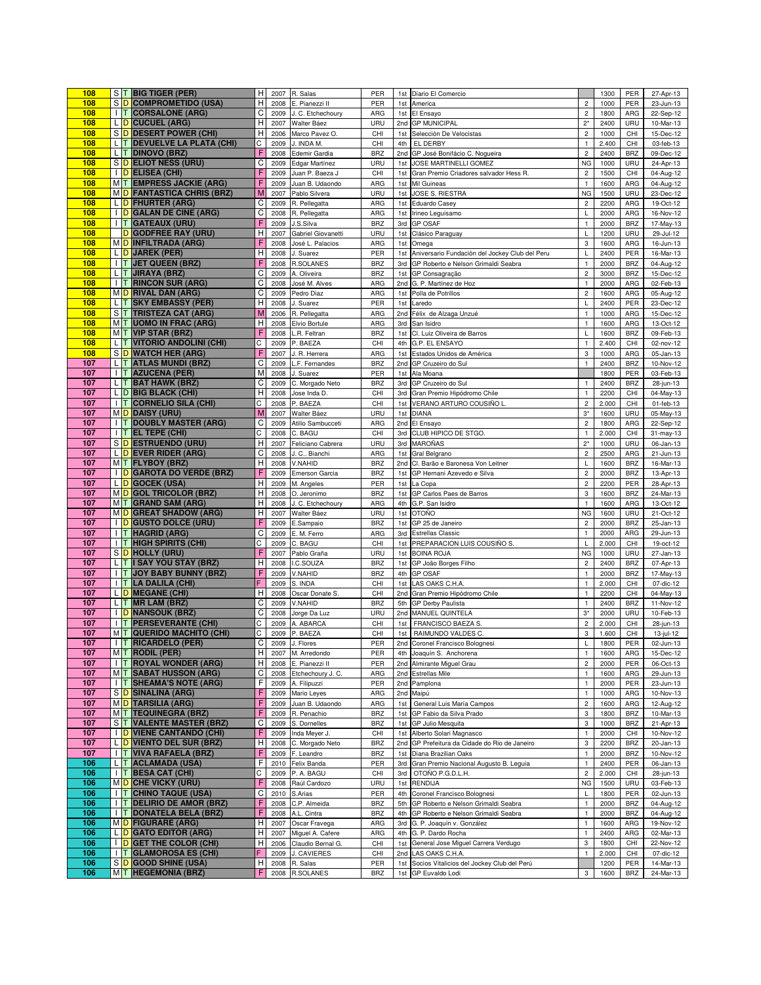| 108        |                | S T BIG TIGER (PER)                                         | н            | 2007         | R. Salas                         | PER                      | 1st        | Diario El Comercio                                                   |                                | 1300          | PER               | 27-Apr-13              |
|------------|----------------|-------------------------------------------------------------|--------------|--------------|----------------------------------|--------------------------|------------|----------------------------------------------------------------------|--------------------------------|---------------|-------------------|------------------------|
| 108        |                | S D COMPROMETIDO (USA)                                      | Н            | 2008         | E. Pianezzi II                   | PER                      | 1st        | America                                                              | $\overline{\mathbf{c}}$        | 1000          | PER               | 23-Jun-13              |
| 108        |                | <b>I T CORSALONE (ARG)</b>                                  | C            | 2009         | J. C. Etchechoury                | ARG                      | 1st        | El Ensayo                                                            | $\overline{\mathbf{c}}$        | 1800          | ARG               | 22-Sep-12              |
| 108        |                | L D CUCUEL (ARG)                                            | Н            | 2007         | Walter Báez                      | URU                      |            | 2nd GP MUNICIPAL                                                     | $2^*$                          | 2400          | URU               | 10-Mar-13              |
| 108        |                | S D DESERT POWER (CHI)                                      | Н            | 2006         | Marco Pavez O                    | CHI                      | 1st        | Selección De Velocistas                                              | $\sqrt{2}$                     | 1000          | CHI               | 15-Dec-12              |
| 108        |                | L T DEVUELVE LA PLATA (CHI)                                 | С            | 2009         | J. INDA M.                       | CHI                      | 4th        | EL DERBY                                                             | $\mathbf{1}$                   | 2.400         | CHI               | 03-feb-13              |
| 108        |                | L T DINOVO (BRZ)                                            | F            | 2008         | Edemir Gardia                    | <b>BRZ</b>               |            | 2nd GP José Bonifácio C. Nogueira                                    | $\overline{c}$                 | 2400          | <b>BRZ</b>        | 09-Dec-12              |
| 108        |                | S D ELIOT NESS (URU)                                        | C            | 2009         | Edgar Martínez                   | URU                      | 1st        | JOSE MARTINELLI GOMEZ                                                | <b>NG</b>                      | 1000          | URU               | 24-Apr-13              |
| 108        |                | I D ELISEA (CHI)                                            | F            | 2009         | Juan P. Baeza J                  | CHI                      | 1st        | Gran Premio Criadores salvador Hess R.                               | $\overline{\mathbf{c}}$        | 1500          | CHI               | 04-Aug-12              |
| 108        |                | MT EMPRESS JACKIE (ARG)                                     |              | 2009         | Juan B. Udaondo                  | ARG                      | 1st        | Mil Guineas                                                          | $\mathbf{1}$                   | 1600          | ARG               | 04-Aug-12              |
| 108        |                | MO FANTASTICA CHRIS (BRZ)                                   | M            | 2007         | Pablo Silvera                    | URU                      | 1st        | JOSE S. RIESTRA                                                      | <b>NG</b>                      | 1500          | URU               | 23-Dec-12              |
| 108        |                | L D FHURTER (ARG)                                           | C            | 2009         | R. Pellegatta                    | ARG                      | 1st        | Eduardo Casey                                                        | $\overline{c}$                 | 2200          | ARG               | 19-Oct-12              |
| 108        |                | I D GALAN DE CINE (ARG)                                     | C            | 2008         | R, Pellegatta                    | ARG                      | 1st        | Irineo Leguisamo                                                     | L                              | 2000          | ARG               | 16-Nov-12              |
| 108        |                | <b>I T GATEAUX (URU)</b>                                    |              | 2009         | J.S.Silva                        | <b>BRZ</b>               | 3rd        | <b>GP OSAF</b>                                                       | $\mathbf{1}$                   | 2000          | <b>BRZ</b>        | 17-May-13              |
| 108        |                | D GODFREE RAY (URU)                                         | H            | 2007         | Gabriel Giovanetti               | URU                      | 1st        | Clásico Paraguay                                                     | L                              | 1200          | URU               | 29-Jul-12              |
| 108        |                | MD INFILTRADA (ARG)                                         |              | 2008         | José L. Palacios                 | ARG                      | 1st        | Omega                                                                | 3                              | 1600          | ARG               | 16-Jun-13              |
| 108        |                | L D JAREK (PER)                                             | H            | 2008         | J. Suarez                        | PER                      | 1st        | Aniversario Fundación del Jockey Club del Peru                       | L                              | 2400          | PER               | 16-Mar-13              |
| 108        |                | I   T   JET QUEEN (BRZ)                                     | F            | 2008         | <b>R.SOLANES</b>                 | <b>BRZ</b>               | 3rd        | GP Roberto e Nelson Grimaldi Seabra                                  | $\mathbf{1}$                   | 2000          | <b>BRZ</b>        | 04-Aug-12              |
| 108        |                | L T JIRAYA (BRZ)                                            | C            | 2009         | A. Oliveira                      | <b>BRZ</b>               | 1st        | GP Consagração                                                       | $\mathbf 2$                    | 3000          | <b>BRZ</b>        | 15-Dec-12              |
| 108        |                | <b>I T RINCON SUR (ARG)</b>                                 | C            | 2008         | José M. Alves                    | ARG                      | 2nd        | G. P. Martínez de Hoz                                                | $\mathbf 1$                    | 2000          | ARG               | 02-Feb-13              |
| 108        |                | MD RIVAL DAN (ARG)                                          | C            | 2009         | Pedro Diaz                       | ARG                      | 1st        | Polla de Potrillos                                                   | $\mathbf 2$                    | 1600          | ARG               | 05-Aug-12              |
| 108<br>108 |                | L T SKY EMBASSY (PER)                                       | Н<br>M       | 2008         | J. Suarez                        | PER                      | 1st        | Laredo                                                               | L                              | 2400          | PER               | 23-Dec-12              |
|            |                | S T TRISTEZA CAT (ARG)                                      |              | 2006         | R. Pellegatta                    | ARG                      | 2nd        | Félix de Alzaga Unzué                                                | $\mathbf 1$                    | 1000          | ARG               | 15-Dec-12              |
| 108<br>108 |                | M T UOMO IN FRAC (ARG)<br>M T VIP STAR (BRZ)                | Н            | 2008         | Elvio Bortule                    | ARG                      | 3rd        | San Isidro                                                           | $\mathbf{1}$                   | 1600          | ARG               | 13-Oct-12              |
|            |                | L T VITORIO ANDOLINI (CHI)                                  | Ċ            | 2008         | L.R. Feltran                     | <b>BRZ</b>               | 1st        | Cl. Luiz Oliveira de Barros                                          | L                              | 1600          | <b>BRZ</b>        | 09-Feb-13              |
| 108<br>108 |                |                                                             | F            | 2009         | P. BAEZA                         | CHI                      | 4th        | G.P. EL ENSAYO                                                       | $\mathbf{1}$                   | 2.400         | CHI               | 02-nov-12              |
| 107        |                | S D WATCH HER (ARG)                                         | C            | 2007         | J. R. Herrera                    | ARG                      | 1st        | Estados Unidos de América                                            | 3                              | 1000          | ARG               | 05-Jan-13              |
| 107        |                | L T ATLAS MUNDI (BRZ)<br><b>I T AZUCENA (PER)</b>           | M            | 2009<br>2008 | .F. Fernandes<br>J. Suarez       | <b>BRZ</b><br>PER        | 2nd        | GP Cruzeiro do Sul<br>Ala Moana                                      | $\mathbf{1}$                   | 2400<br>1800  | <b>BRZ</b><br>PER | 10-Nov-12              |
| 107        |                |                                                             | C            |              |                                  |                          | 1st        |                                                                      |                                |               |                   | 03-Feb-13              |
| 107        |                | L T BAT HAWK (BRZ)<br>L D BIG BLACK (CHI)                   | H            | 2009         | C. Morgado Neto                  | <b>BRZ</b>               | 3rd        | GP Cruzeiro do Sul                                                   | $\mathbf{1}$                   | 2400          | <b>BRZ</b>        | 28-jun-13              |
| 107        |                | <b>I T CORNELIO SILA (CHI)</b>                              | C            | 2008<br>2008 | Jose Inda D.<br>P. BAEZA         | CHI<br>CHI               | 3rd<br>1st | Gran Premio Hipódromo Chile<br>VERANO ARTURO COUSIÑO L.              | $\mathbf{1}$<br>$\overline{c}$ | 2200<br>2.000 | CHI<br>CHI        | 04-May-13<br>01-feb-13 |
| 107        |                | MO DAISY (URU)                                              | M            | 2007         |                                  | URU                      | 1st        | <b>DIANA</b>                                                         | $3^{\star}$                    | 1600          | URU               |                        |
| 107        |                | <b>I T DOUBLY MASTER (ARG)</b>                              | C            | 2009         | Walter Báez<br>Atilio Sambucceti | ARG                      | 2nd        | El Ensayo                                                            | $\overline{c}$                 | 1800          | ARG               | 05-May-13              |
| 107        |                | $\ T\ $ EL TEPE (CHI)                                       | C            | 2008         | C. BAGU                          | CHI                      |            | 3rd CLUB HIPICO DE STGO.                                             | $\mathbf{1}$                   | 2.000         | CHI               | 22-Sep-12<br>31-may-13 |
| 107        |                | S D ESTRUENDO (URU)                                         | Н            | 2007         | Feliciano Cabrera                | URU                      | 3rd        | <b>MAROÑAS</b>                                                       | $2^*$                          | 1000          | URU               | 06-Jan-13              |
| 107        |                | L D EVER RIDER (ARG)                                        | C            | 2008         | J. C Bianchi                     | ARG                      | 1st        | Gral Belgrano                                                        | $\overline{c}$                 | 2500          | ARG               | 21-Jun-13              |
| 107        |                | MT FLYBOY (BRZ)                                             | Н            | 2008         | V.NAHID                          | <b>BRZ</b>               | 2nd        | Cl. Barão e Baronesa Von Leitner                                     | L                              | 1600          | <b>BRZ</b>        | 16-Mar-13              |
| 107        |                | <b>I D GAROTA DO VERDE (BRZ)</b>                            | F            | 2009         | Emerson Garcia                   | <b>BRZ</b>               | 1st        | GP Hernani Azevedo e Silva                                           | $\mathbf 2$                    | 2000          | <b>BRZ</b>        | 13-Apr-13              |
| 107        |                | L D GOCEK (USA)                                             | Н            | 2009         | M. Angeles                       | PER                      | 1st        | La Copa                                                              | $\overline{\mathbf{c}}$        | 2200          | PER               | 28-Apr-13              |
| 107        |                | MO GOL TRICOLOR (BRZ)                                       | Н            | 2008         | O. Jeronimo                      | <b>BRZ</b>               | 1st        | GP Carlos Paes de Barros                                             | 3                              | 1600          | <b>BRZ</b>        | 24-Mar-13              |
| 107        |                | MT GRAND SAM (ARG)                                          | H            | 2008         | J. C. Etchechoury                | ARG                      | 4th        | G.P. San Isidro                                                      | $\mathbf{1}$                   | 1600          | ARG               | 13-Oct-12              |
| 107        |                | MO GREAT SHADOW (ARG)                                       | Н            | 2007         | Walter Báez                      | URU                      | 1st        | <b>OTOÑO</b>                                                         | <b>NG</b>                      | 1600          | URU               | 21-Oct-12              |
| 107        |                | I D GUSTO DOLCE (URU)                                       |              | 2009         | E.Sampaio                        | <b>BRZ</b>               | 1st        | GP 25 de Janeiro                                                     | $\mathbf 2$                    | 2000          | <b>BRZ</b>        | 25-Jan-13              |
| 107        |                | <b>I T HAGRID (ARG)</b>                                     | C            | 2009         | E. M. Ferro                      | ARG                      | 3rd        | <b>Estrellas Classic</b>                                             | $\mathbf{1}$                   | 2000          | ARG               | 29-Jun-13              |
| 107        |                | <b>I T HIGH SPIRITS (CHI)</b>                               | С            | 2009         | C. BAGU                          | CHI                      | 1st        | PREPARACION LUIS COUSIÑO S.                                          | L                              | 2.000         | CHI               | 19-oct-12              |
| 107        |                | S D HOLLY (URU)                                             |              | 2007         | Pablo Graña                      | URU                      | 1st        | <b>BOINA ROJA</b>                                                    | <b>NG</b>                      | 1000          | URU               | 27-Jan-13              |
| 107        |                | L T I SAY YOU STAY (BRZ)                                    | H            | 2008         | .C.SOUZA                         | <b>BRZ</b>               | 1st        | GP João Borges Filho                                                 | $\mathbf 2$                    | 2400          | <b>BRZ</b>        | 07-Apr-13              |
| 107        |                | <b>I T JOY BABY BUNNY (BRZ)</b>                             | F            | 2009         | V.NAHID                          | <b>BRZ</b>               | 4th        | <b>GP OSAF</b>                                                       | $\mathbf{1}$                   | 2000          | <b>BRZ</b>        | 17-May-13              |
| 107        |                | <b>I T LA DALILA (CHI)</b>                                  |              | 2009         | S. INDA                          | CHI                      | 1st        | LAS OAKS C.H.A.                                                      | $\mathbf{1}$                   | 2.000         | CHI               | 07-dic-12              |
| 107        |                | L D MEGANE (CHI)                                            | H            | 2008         | Oscar Donate S.                  | CHI                      | 2nd        | Gran Premio Hipódromo Chile                                          | $\mathbf{1}$                   | 2200          | CHI               | 04-May-13              |
| 107        |                | $L$ T MR LAM (BRZ)                                          | C            | 2009         | V.NAHID                          | <b>BRZ</b>               | 5th        | GP Derby Paulista                                                    | $\mathbf{1}$                   | 2400          | <b>BRZ</b>        | 11-Nov-12              |
| 107        |                | <b>I</b> D NANSOUK (BRZ)                                    | C            | 2008         | Jorge Da Luz                     | URU                      | 2nd        | MANUEL QUINTELA                                                      | $3^\star$                      | 2000          | URU               | 10-Feb-13              |
| 107        |                | <b>I T PERSEVERANTE (CHI)</b>                               | С            | 2009         | A. ABARCA                        | CHI                      | 1st        | FRANCISCO BAEZA S.                                                   | $\overline{c}$                 | 2.000         | CHI               | 28-jun-13              |
| 107        |                | M T QUERIDO MACHITO (CHI)                                   | C            | 2009         | P. BAEZA                         | CHI                      | 1st        | RAIMUNDO VALDES C.                                                   | 3                              | 1.600         | CHI               | $13$ -jul-12           |
| 107        |                | <b>I T RICARDELO (PER)</b>                                  | $\mathsf{C}$ |              | 2009 J. Flores                   | PER                      |            | 2nd Coronel Francisco Bolognesi                                      |                                | 1800          | PER I             | 02-Jun-13              |
| 107        |                | MT RODIL (PER)                                              | н            | 2007         | M. Arredondo                     | PER                      | 4th        | Joaquín S. Anchorena                                                 | $\mathbf{1}$                   | 1600          | ARG               | 15-Dec-12              |
| 107        | ШT             | <b>ROYAL WONDER (ARG)</b>                                   | Н            | 2008         | E. Pianezzi II                   | PER                      | 2nd        | Almirante Miguel Grau                                                | $\mathbf 2$                    | 2000          | PER               | 06-Oct-13              |
| 107        | M <sub>T</sub> | <b>SABAT HUSSON (ARG)</b>                                   | C            | 2008         | Etchechoury J. C.                | ARG                      | 2nd        | <b>Estrellas Mile</b>                                                | $\mathbf{1}$                   | 1600          | ARG               | 29-Jun-13              |
| 107        |                | <b>I T SHEAMA'S NOTE (ARG)</b>                              | F            | 2009         | A. Filipuzzi                     | PER                      | 2nd        | Pamplona                                                             | $\mathbf{1}$                   | 2000          | PER               | 23-Jun-13              |
| 107        |                | S D SINALINA (ARG)                                          | F            | 2009         | Mario Leyes                      | ARG                      | 2nd        | Maipú                                                                | $\mathbf{1}$                   | 1000          | ARG               | 10-Nov-13              |
| 107        |                | MD TARSILIA (ARG)                                           | F            | 2009         | Juan B. Udaondo                  | ARG                      | 1st        | General Luis María Campos                                            | $\overline{c}$                 | 1600          | ARG               | 12-Aug-12              |
| 107<br>107 |                | MT TEQUINEGRA (BRZ)                                         |              | 2009         | R. Penachio                      | <b>BRZ</b>               | 1st        | GP Fabio da Silva Prado<br>GP Julio Mesquita                         | 3                              | 1800          | <b>BRZ</b>        | 10-Mar-13              |
|            |                | S T VALENTE MASTER (BRZ)<br><b>I</b> D VIENE CANTANDO (CHI) | C<br>F       | 2009         | S. Dornelles                     | <b>BRZ</b>               | 1st        |                                                                      | 3                              | 1000          | <b>BRZ</b>        | 21-Apr-13              |
| 107<br>107 |                | L D VIENTO DEL SUR (BRZ)                                    | H            | 2009<br>2008 | Inda Meyer J.<br>C. Morgado Neto | CHI<br><b>BRZ</b>        | 1st<br>2nd | Alberto Solari Magnasco<br>GP Prefeitura da Cidade do Rio de Janeiro | $\mathbf{1}$<br>3              | 2000<br>2200  | CHI<br><b>BRZ</b> | 10-Nov-12<br>20-Jan-13 |
|            |                |                                                             | F            |              |                                  |                          |            |                                                                      |                                |               |                   |                        |
| 107<br>106 |                | I T VIVA RAFAELA (BRZ)<br>L T ACLAMADA (USA)                | F            | 2009         | F. Leandro                       | <b>BRZ</b>               | 1st        | Diana Brazilian Oaks                                                 | $\mathbf{1}$                   | 2000          | <b>BRZ</b>        | 10-Nov-12              |
|            |                |                                                             | C            | 2010         | Felix Banda                      | PER                      | 3rd        | Gran Premio Nacional Augusto B. Leguia                               | $\mathbf{1}$                   | 2400          | PER               | 06-Jan-13              |
| 106<br>106 |                | I T BESA CAT (CHI)<br>M D CHE VICKY (URU)                   | F            | 2009         | P. A. BAGU                       | CHI                      | 3rd        | OTOÑO P.G.D.L.H.                                                     | $\overline{c}$                 | 2.000         | CHI<br>URU        | 28-jun-13              |
| 106        | IT.            | <b>CHINO TAQUE (USA)</b>                                    | C            | 2008         | Raúl Cardozo                     | URU                      | 1st        | RENDIJA                                                              | <b>NG</b>                      | 1500          |                   | 03-Feb-13              |
| 106        | HТ             | <b>DELIRIO DE AMOR (BRZ)</b>                                | F            | 2010         | S.Arias                          | PER                      | 4th        | Coronel Francisco Bolognesi<br>GP Roberto e Nelson Grimaldi Seabra   | L                              | 1800          | PER<br><b>BRZ</b> | 02-Jun-13              |
| 106        |                | <b>I T DONATELA BELA (BRZ)</b>                              | F            | 2008<br>2008 | C.P. Almeida<br>A.L. Cintra      | <b>BRZ</b><br><b>BRZ</b> | 5th<br>4th | GP Roberto e Nelson Grimaldi Seabra                                  | $\mathbf{1}$<br>$\mathbf{1}$   | 2000<br>2000  | <b>BRZ</b>        | 04-Aug-12<br>04-Aug-12 |
| 106        |                | M D FIGURARE (ARG)                                          | H            | 2007         | Oscar Fravega                    | ARG                      | 3rd        | G. P. Joaquín v. González                                            | $\mathbf{1}$                   | 1600          | ARG               | 19-Nov-12              |
| 106        |                | L D GATO EDITOR (ARG)                                       | H            | 2007         | Miguel A. Cafere                 | ARG                      | 4th        | G. P. Dardo Rocha                                                    | $\mathbf{1}$                   | 2400          | ARG               | 02-Mar-13              |
| 106        |                | I D GET THE COLOR (CHI)                                     | H            | 2006         | Claudio Bernal G.                | CHI                      | 1st        | General Jose Miguel Carrera Verdugo                                  | $\mathbf 3$                    | 1800          | CHI               | 22-Nov-12              |
| 106        |                | <b>I T GLAMOROSA ES (CHI)</b>                               | F            | 2009         | J. CAVIERES                      | CHI                      | 2nd        | LAS OAKS C.H.A.                                                      | $\mathbf{1}$                   | 2.000         | CHI               | 07-dic-12              |
| 106        |                | S D GOOD SHINE (USA)                                        | Н            | 2008         | R. Salas                         | PER                      | 1st        | Socios Vitalicios del Jockey Club del Perú                           |                                | 1200          | PER               | 14-Mar-13              |
| 106        |                | MT HEGEMONIA (BRZ)                                          | F            |              | 2008 R.SOLANES                   | <b>BRZ</b>               |            | 1st GP Euvaldo Lodi                                                  | 3                              | 1600          | <b>BRZ</b>        | 24-Mar-13              |